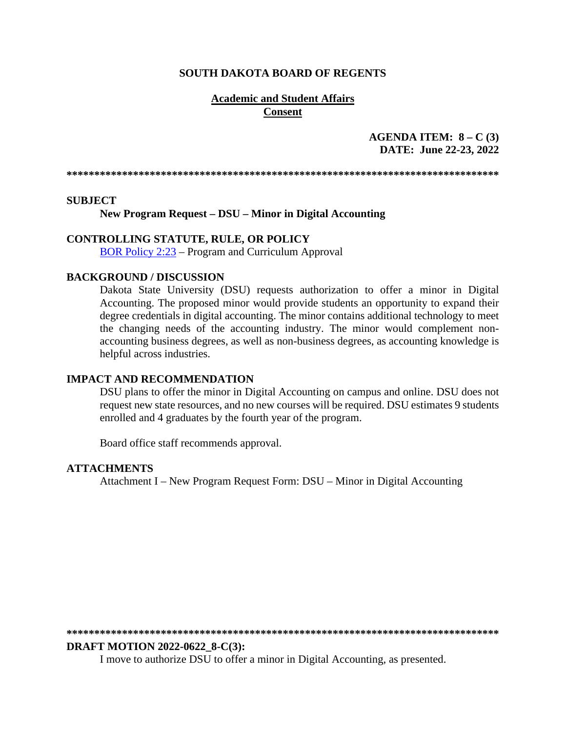#### **SOUTH DAKOTA BOARD OF REGENTS**

#### **Academic and Student Affairs Consent**

## **AGENDA ITEM: 8 – C (3) DATE: June 22-23, 2022**

**\*\*\*\*\*\*\*\*\*\*\*\*\*\*\*\*\*\*\*\*\*\*\*\*\*\*\*\*\*\*\*\*\*\*\*\*\*\*\*\*\*\*\*\*\*\*\*\*\*\*\*\*\*\*\*\*\*\*\*\*\*\*\*\*\*\*\*\*\*\*\*\*\*\*\*\*\*\*** 

#### **SUBJECT**

**New Program Request – DSU – Minor in Digital Accounting**

#### **CONTROLLING STATUTE, RULE, OR POLICY**

[BOR Policy 2:23](https://www.sdbor.edu/policy/Documents/2-23.pdf) – Program and Curriculum Approval

#### **BACKGROUND / DISCUSSION**

Dakota State University (DSU) requests authorization to offer a minor in Digital Accounting. The proposed minor would provide students an opportunity to expand their degree credentials in digital accounting. The minor contains additional technology to meet the changing needs of the accounting industry. The minor would complement nonaccounting business degrees, as well as non-business degrees, as accounting knowledge is helpful across industries.

#### **IMPACT AND RECOMMENDATION**

DSU plans to offer the minor in Digital Accounting on campus and online. DSU does not request new state resources, and no new courses will be required. DSU estimates 9 students enrolled and 4 graduates by the fourth year of the program.

Board office staff recommends approval.

#### **ATTACHMENTS**

Attachment I – New Program Request Form: DSU – Minor in Digital Accounting

**\*\*\*\*\*\*\*\*\*\*\*\*\*\*\*\*\*\*\*\*\*\*\*\*\*\*\*\*\*\*\*\*\*\*\*\*\*\*\*\*\*\*\*\*\*\*\*\*\*\*\*\*\*\*\*\*\*\*\*\*\*\*\*\*\*\*\*\*\*\*\*\*\*\*\*\*\*\*** 

#### **DRAFT MOTION 2022-0622\_8-C(3):**

I move to authorize DSU to offer a minor in Digital Accounting, as presented.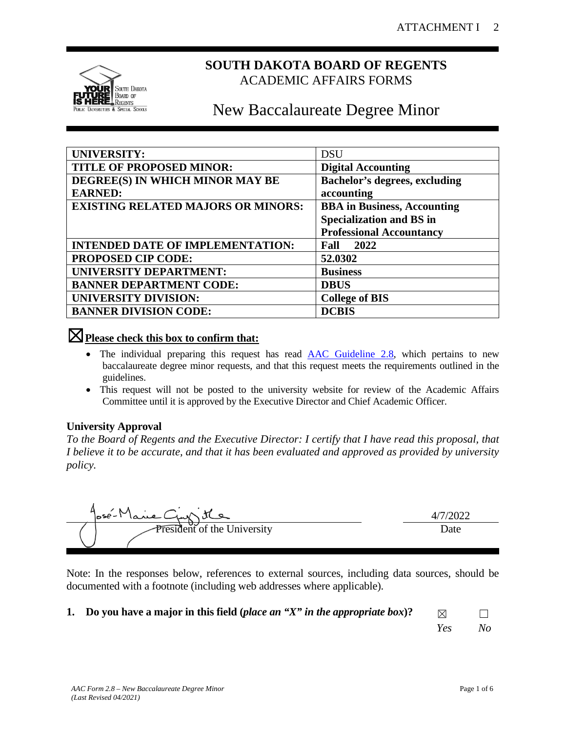

## **SOUTH DAKOTA BOARD OF REGENTS** ACADEMIC AFFAIRS FORMS

# New Baccalaureate Degree Minor

| <b>UNIVERSITY:</b>                        | <b>DSU</b>                           |
|-------------------------------------------|--------------------------------------|
| <b>TITLE OF PROPOSED MINOR:</b>           | <b>Digital Accounting</b>            |
| DEGREE(S) IN WHICH MINOR MAY BE           | <b>Bachelor's degrees, excluding</b> |
| <b>EARNED:</b>                            | accounting                           |
| <b>EXISTING RELATED MAJORS OR MINORS:</b> | <b>BBA</b> in Business, Accounting   |
|                                           | <b>Specialization and BS in</b>      |
|                                           | <b>Professional Accountancy</b>      |
| <b>INTENDED DATE OF IMPLEMENTATION:</b>   | 2022<br>Fall                         |
| <b>PROPOSED CIP CODE:</b>                 | 52.0302                              |
| UNIVERSITY DEPARTMENT:                    | <b>Business</b>                      |
| <b>BANNER DEPARTMENT CODE:</b>            | <b>DBUS</b>                          |
| <b>UNIVERSITY DIVISION:</b>               | <b>College of BIS</b>                |
| <b>BANNER DIVISION CODE:</b>              | <b>DCBIS</b>                         |

## ☒**Please check this box to confirm that:**

- The individual preparing this request has read **AAC Guideline 2.8**, which pertains to new baccalaureate degree minor requests, and that this request meets the requirements outlined in the guidelines.
- This request will not be posted to the university website for review of the Academic Affairs Committee until it is approved by the Executive Director and Chief Academic Officer.

## **University Approval**

*To the Board of Regents and the Executive Director: I certify that I have read this proposal, that I believe it to be accurate, and that it has been evaluated and approved as provided by university policy.*



Note: In the responses below, references to external sources, including data sources, should be documented with a footnote (including web addresses where applicable).

**1. Do you have a major in this field (***place an "X" in the appropriate box***)?**  $\Box$ 

*Yes No*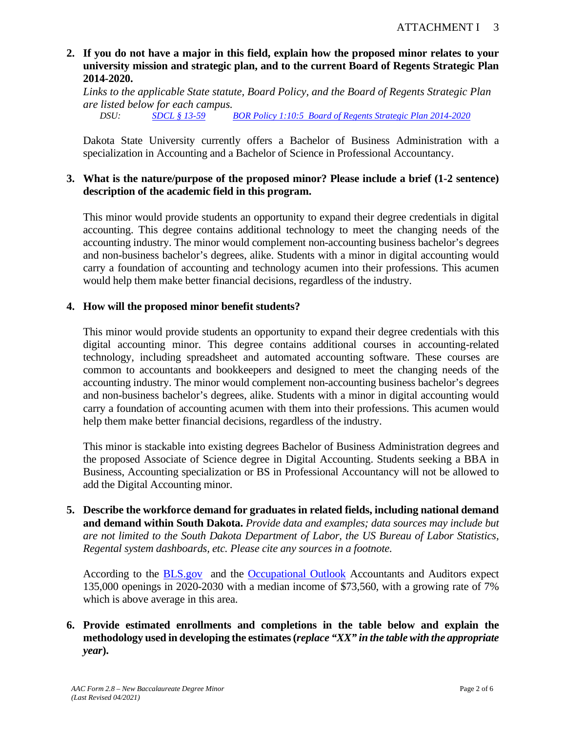## **2. If you do not have a major in this field, explain how the proposed minor relates to your university mission and strategic plan, and to the current Board of Regents Strategic Plan 2014-2020.**

*Links to the applicable State statute, Board Policy, and the Board of Regents Strategic Plan are listed below for each campus.* 

*DSU: [SDCL § 13-59](https://sdlegislature.gov/Statutes/Codified_Laws/DisplayStatute.aspx?Type=Statute&Statute=13-59) [BOR Policy 1:10:5](https://www.sdbor.edu/policy/documents/1-10-5.pdf) [Board of Regents Strategic Plan 2014-2020](https://www.sdbor.edu/the-board/agendaitems/Documents/2014/October/16_BOR1014.pdf.)*

Dakota State University currently offers a Bachelor of Business Administration with a specialization in Accounting and a Bachelor of Science in Professional Accountancy.

## **3. What is the nature/purpose of the proposed minor? Please include a brief (1-2 sentence) description of the academic field in this program.**

This minor would provide students an opportunity to expand their degree credentials in digital accounting. This degree contains additional technology to meet the changing needs of the accounting industry. The minor would complement non-accounting business bachelor's degrees and non-business bachelor's degrees, alike. Students with a minor in digital accounting would carry a foundation of accounting and technology acumen into their professions. This acumen would help them make better financial decisions, regardless of the industry.

## **4. How will the proposed minor benefit students?**

This minor would provide students an opportunity to expand their degree credentials with this digital accounting minor. This degree contains additional courses in accounting-related technology, including spreadsheet and automated accounting software. These courses are common to accountants and bookkeepers and designed to meet the changing needs of the accounting industry. The minor would complement non-accounting business bachelor's degrees and non-business bachelor's degrees, alike. Students with a minor in digital accounting would carry a foundation of accounting acumen with them into their professions. This acumen would help them make better financial decisions, regardless of the industry.

This minor is stackable into existing degrees Bachelor of Business Administration degrees and the proposed Associate of Science degree in Digital Accounting. Students seeking a BBA in Business, Accounting specialization or BS in Professional Accountancy will not be allowed to add the Digital Accounting minor.

**5. Describe the workforce demand for graduates in related fields, including national demand and demand within South Dakota.** *Provide data and examples; data sources may include but are not limited to the South Dakota Department of Labor, the US Bureau of Labor Statistics, Regental system dashboards, etc. Please cite any sources in a footnote.*

According to the [BLS.gov](https://www.bls.gov/careeroutlook/2021/article/projected-openings-college-degree.htm#Business,%20management,%20and%20sales) and the [Occupational Outlook](https://www.bls.gov/ooh/business-and-financial/accountants-and-auditors.htm) Accountants and Auditors expect 135,000 openings in 2020-2030 with a median income of \$73,560, with a growing rate of 7% which is above average in this area.

## **6. Provide estimated enrollments and completions in the table below and explain the methodology used in developing the estimates (***replace "XX" in the table with the appropriate year***).**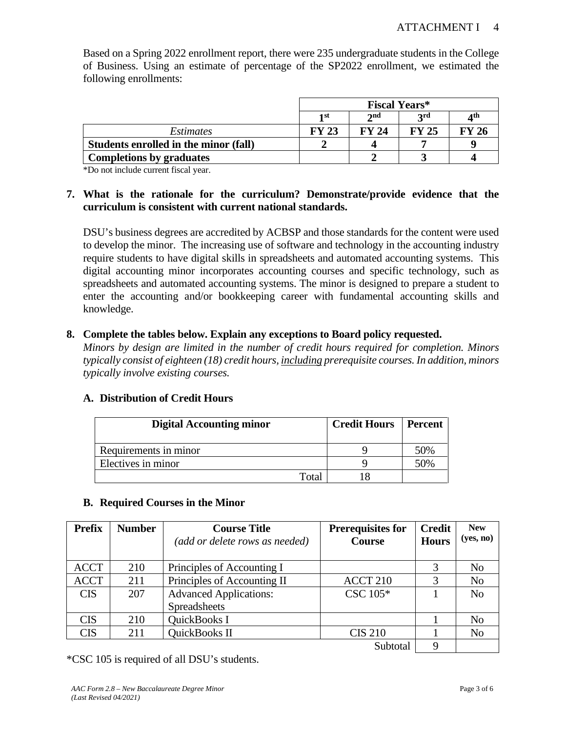|                                       | <b>Fiscal Years*</b>                         |              |              |       |  |
|---------------------------------------|----------------------------------------------|--------------|--------------|-------|--|
|                                       | 2nd<br><b>2rd</b><br>4 <sup>th</sup><br>1 st |              |              |       |  |
| <i>Estimates</i>                      | <b>FY 23</b>                                 | <b>FY 24</b> | <b>FY 25</b> | FY 26 |  |
| Students enrolled in the minor (fall) |                                              |              |              |       |  |
| <b>Completions by graduates</b>       |                                              |              |              |       |  |

Based on a Spring 2022 enrollment report, there were 235 undergraduate students in the College of Business. Using an estimate of percentage of the SP2022 enrollment, we estimated the following enrollments:

\*Do not include current fiscal year.

## **7. What is the rationale for the curriculum? Demonstrate/provide evidence that the curriculum is consistent with current national standards.**

DSU's business degrees are accredited by ACBSP and those standards for the content were used to develop the minor. The increasing use of software and technology in the accounting industry require students to have digital skills in spreadsheets and automated accounting systems. This digital accounting minor incorporates accounting courses and specific technology, such as spreadsheets and automated accounting systems. The minor is designed to prepare a student to enter the accounting and/or bookkeeping career with fundamental accounting skills and knowledge.

#### **8. Complete the tables below. Explain any exceptions to Board policy requested.**

*Minors by design are limited in the number of credit hours required for completion. Minors typically consist of eighteen (18) credit hours, including prerequisite courses. In addition, minors typically involve existing courses.* 

#### **A. Distribution of Credit Hours**

| <b>Digital Accounting minor</b> | <b>Credit Hours</b>   Percent |     |
|---------------------------------|-------------------------------|-----|
| Requirements in minor           |                               | 50% |
| Electives in minor              |                               | 50% |
| Total                           |                               |     |

#### **B. Required Courses in the Minor**

| <b>Prefix</b> | <b>Number</b> | <b>Prerequisites for</b><br><b>Course Title</b> |                     | <b>Credit</b> | <b>New</b>     |
|---------------|---------------|-------------------------------------------------|---------------------|---------------|----------------|
|               |               | <b>Course</b><br>(add or delete rows as needed) |                     | <b>Hours</b>  | (yes, no)      |
|               |               |                                                 |                     |               |                |
| <b>ACCT</b>   | 210           | Principles of Accounting I                      |                     |               | N <sub>o</sub> |
| <b>ACCT</b>   | 211           | Principles of Accounting II                     | ACCT <sub>210</sub> | 3             | N <sub>o</sub> |
| <b>CIS</b>    | 207           | <b>Advanced Applications:</b>                   | $\text{CSC } 105^*$ |               | N <sub>o</sub> |
|               |               | <b>Spreadsheets</b>                             |                     |               |                |
| <b>CIS</b>    | 210           | QuickBooks I                                    |                     |               | N <sub>0</sub> |
| <b>CIS</b>    | 211           | QuickBooks II                                   | <b>CIS 210</b>      |               | N <sub>o</sub> |
|               |               |                                                 | Subtotal            | 9             |                |

\*CSC 105 is required of all DSU's students.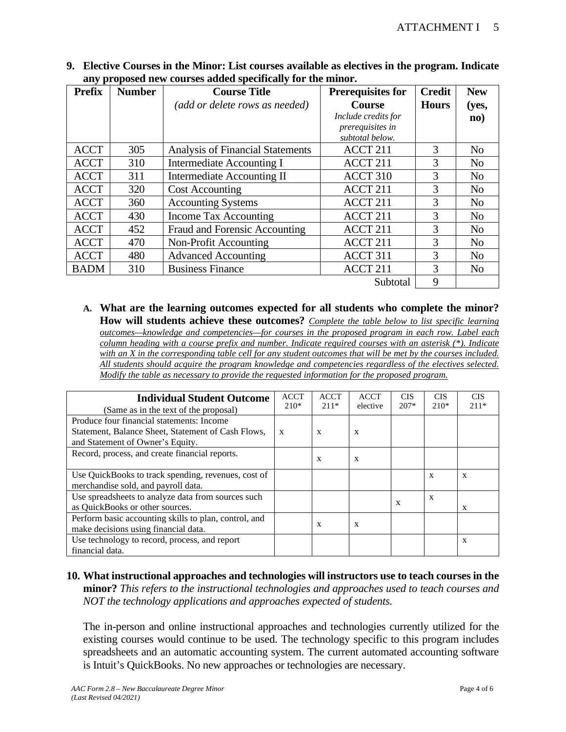| <b>Prefix</b> | <b>Number</b> | <b>Course Title</b>                     | <b>Prerequisites for</b> | <b>Credit</b> | <b>New</b>     |
|---------------|---------------|-----------------------------------------|--------------------------|---------------|----------------|
|               |               | (add or delete rows as needed)          | <b>Course</b>            | <b>Hours</b>  | (yes,          |
|               |               |                                         | Include credits for      |               | $\mathbf{no}$  |
|               |               |                                         | prerequisites in         |               |                |
|               |               |                                         | subtotal below.          |               |                |
| <b>ACCT</b>   | 305           | <b>Analysis of Financial Statements</b> | ACCT 211                 | $\mathcal{F}$ | N <sub>o</sub> |
| <b>ACCT</b>   | 310           | Intermediate Accounting I               | ACCT 211                 | 3             | N <sub>o</sub> |
| <b>ACCT</b>   | 311           | Intermediate Accounting II              | ACCT 310                 | 3             | N <sub>o</sub> |
| <b>ACCT</b>   | 320           | <b>Cost Accounting</b>                  | ACCT 211                 | 3             | N <sub>o</sub> |
| <b>ACCT</b>   | 360           | <b>Accounting Systems</b>               | ACCT 211                 | 3             | N <sub>o</sub> |
| <b>ACCT</b>   | 430           | Income Tax Accounting                   | ACCT 211                 | 3             | N <sub>0</sub> |
| <b>ACCT</b>   | 452           | Fraud and Forensic Accounting           | ACCT 211                 | 3             | N <sub>o</sub> |
| <b>ACCT</b>   | 470           | Non-Profit Accounting                   | ACCT 211                 | 3             | N <sub>o</sub> |
| <b>ACCT</b>   | 480           | <b>Advanced Accounting</b>              | ACCT 311                 | 3             | N <sub>o</sub> |
| <b>BADM</b>   | 310           | <b>Business Finance</b>                 | ACCT 211                 | 3             | N <sub>o</sub> |
|               |               |                                         | Subtotal                 | 9             |                |

**9. Elective Courses in the Minor: List courses available as electives in the program. Indicate any proposed new courses added specifically for the minor.**

**A. What are the learning outcomes expected for all students who complete the minor? How will students achieve these outcomes?** *Complete the table below to list specific learning outcomes—knowledge and competencies—for courses in the proposed program in each row. Label each column heading with a course prefix and number. Indicate required courses with an asterisk (\*). Indicate with an X in the corresponding table cell for any student outcomes that will be met by the courses included. All students should acquire the program knowledge and competencies regardless of the electives selected. Modify the table as necessary to provide the requested information for the proposed program.* 

| <b>Individual Student Outcome</b><br>(Same as in the text of the proposal)                                                          | <b>ACCT</b><br>$210*$ | <b>ACCT</b><br>$211*$ | <b>ACCT</b><br>elective | <b>CIS</b><br>$207*$ | <b>CIS</b><br>$210*$ | <b>CIS</b><br>$211*$      |
|-------------------------------------------------------------------------------------------------------------------------------------|-----------------------|-----------------------|-------------------------|----------------------|----------------------|---------------------------|
| Produce four financial statements: Income<br>Statement, Balance Sheet, Statement of Cash Flows,<br>and Statement of Owner's Equity. | $\mathbf{x}$          | X                     | X                       |                      |                      |                           |
| Record, process, and create financial reports.                                                                                      |                       | X                     | X                       |                      |                      |                           |
| Use QuickBooks to track spending, revenues, cost of<br>merchandise sold, and payroll data.                                          |                       |                       |                         |                      | X                    | $\boldsymbol{\mathrm{x}}$ |
| Use spreadsheets to analyze data from sources such<br>as QuickBooks or other sources.                                               |                       |                       |                         | X                    | X                    | X                         |
| Perform basic accounting skills to plan, control, and<br>make decisions using financial data.                                       |                       | X                     | X                       |                      |                      |                           |
| Use technology to record, process, and report<br>financial data.                                                                    |                       |                       |                         |                      |                      | $\boldsymbol{\mathrm{x}}$ |

**10. What instructional approaches and technologies will instructors use to teach courses in the minor?** *This refers to the instructional technologies and approaches used to teach courses and NOT the technology applications and approaches expected of students.*

The in-person and online instructional approaches and technologies currently utilized for the existing courses would continue to be used. The technology specific to this program includes spreadsheets and an automatic accounting system. The current automated accounting software is Intuit's QuickBooks. No new approaches or technologies are necessary.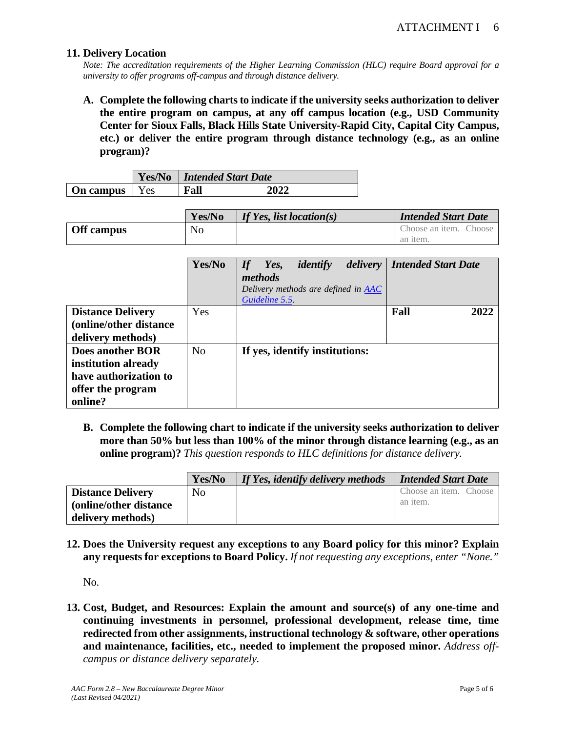#### **11. Delivery Location**

*Note: The accreditation requirements of the Higher Learning Commission (HLC) require Board approval for a university to offer programs off-campus and through distance delivery.* 

**A. Complete the following charts to indicate if the university seeks authorization to deliver the entire program on campus, at any off campus location (e.g., USD Community Center for Sioux Falls, Black Hills State University-Rapid City, Capital City Campus, etc.) or deliver the entire program through distance technology (e.g., as an online program)?**

|                        | Yes/No | Intended Start Date |      |  |
|------------------------|--------|---------------------|------|--|
| <b>On campus</b>   Yes |        | Fall                | 2022 |  |

|                   | Yes/No | If Yes, list location(s) | <b>Intended Start Date</b> |
|-------------------|--------|--------------------------|----------------------------|
| <b>Off</b> campus | No     |                          | Choose an item. Choose     |
|                   |        |                          | an item.                   |

|                          | Yes/No         | identify<br><i>delivery</i><br>If<br>Yes,<br>methods<br>Delivery methods are defined in AAC<br>Guideline 5.5. | <b>Intended Start Date</b> |
|--------------------------|----------------|---------------------------------------------------------------------------------------------------------------|----------------------------|
| <b>Distance Delivery</b> | Yes            |                                                                                                               | Fall<br>2022               |
| (online/other distance)  |                |                                                                                                               |                            |
| delivery methods)        |                |                                                                                                               |                            |
| <b>Does another BOR</b>  | N <sub>0</sub> | If yes, identify institutions:                                                                                |                            |
| institution already      |                |                                                                                                               |                            |
| have authorization to    |                |                                                                                                               |                            |
| offer the program        |                |                                                                                                               |                            |
| online?                  |                |                                                                                                               |                            |

**B. Complete the following chart to indicate if the university seeks authorization to deliver more than 50% but less than 100% of the minor through distance learning (e.g., as an online program)?** *This question responds to HLC definitions for distance delivery.*

|                          | Yes/No         | If Yes, identify delivery methods | Intended Start Date    |
|--------------------------|----------------|-----------------------------------|------------------------|
| <b>Distance Delivery</b> | N <sub>0</sub> |                                   | Choose an item. Choose |
| (online/other distance)  |                |                                   | an item.               |
| delivery methods)        |                |                                   |                        |

**12. Does the University request any exceptions to any Board policy for this minor? Explain any requests for exceptions to Board Policy.** *If not requesting any exceptions, enter "None."*

No.

**13. Cost, Budget, and Resources: Explain the amount and source(s) of any one-time and continuing investments in personnel, professional development, release time, time redirected from other assignments, instructional technology & software, other operations and maintenance, facilities, etc., needed to implement the proposed minor.** *Address offcampus or distance delivery separately.*